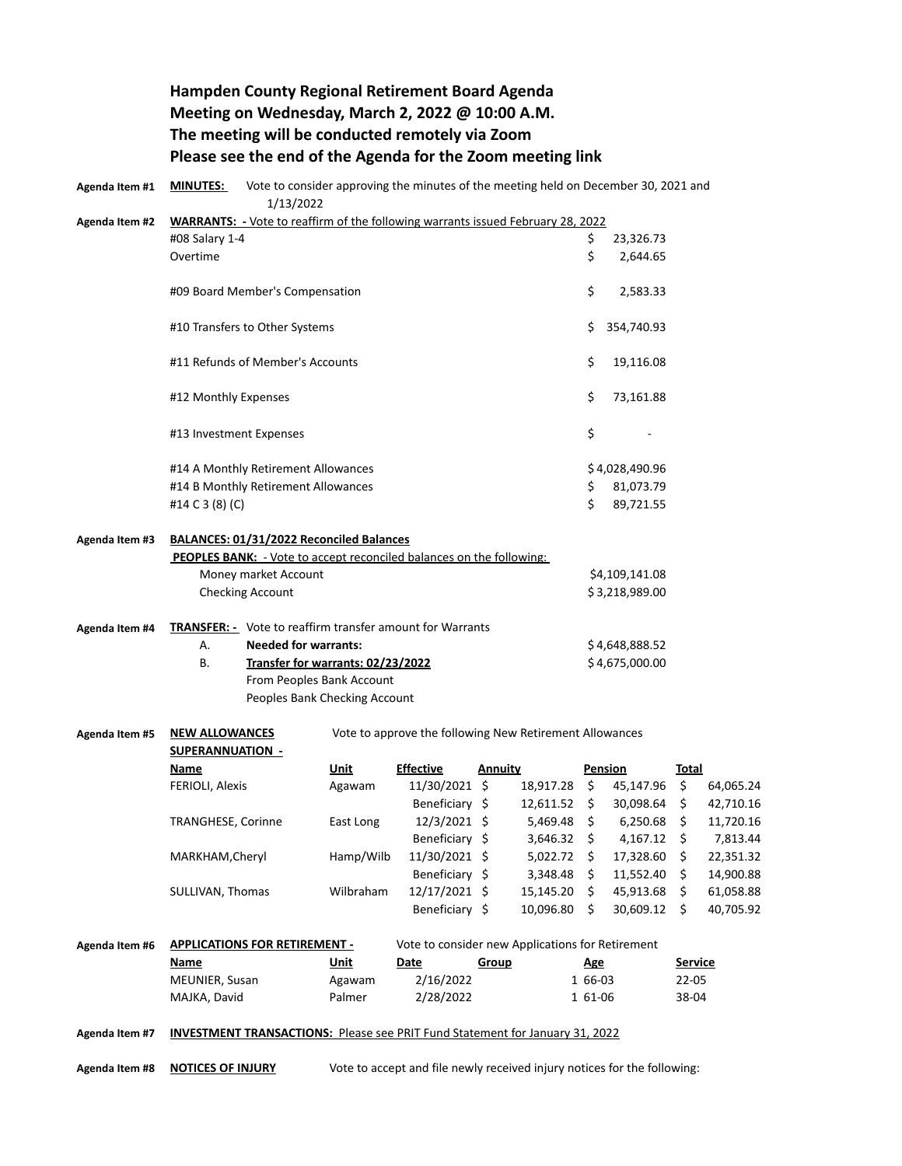## **Hampden County Regional Retirement Board Agenda Meeting on Wednesday, March 2, 2022 @ 10:00 A.M. The meeting will be conducted remotely via Zoom Please see the end of the Agenda for the Zoom meeting link**

| Agenda Item #1 | <b>MINUTES:</b><br>Vote to consider approving the minutes of the meeting held on December 30, 2021 and<br>1/13/2022 |                                      |           |                                                                                     |                |                      |                |                |                |           |
|----------------|---------------------------------------------------------------------------------------------------------------------|--------------------------------------|-----------|-------------------------------------------------------------------------------------|----------------|----------------------|----------------|----------------|----------------|-----------|
| Agenda Item #2 | WARRANTS: - Vote to reaffirm of the following warrants issued February 28, 2022                                     |                                      |           |                                                                                     |                |                      |                |                |                |           |
|                | #08 Salary 1-4                                                                                                      |                                      |           |                                                                                     | \$             | 23,326.73            |                |                |                |           |
|                | Overtime                                                                                                            |                                      |           |                                                                                     |                |                      | \$             | 2,644.65       |                |           |
|                | #09 Board Member's Compensation                                                                                     |                                      |           |                                                                                     | \$             | 2,583.33             |                |                |                |           |
|                | #10 Transfers to Other Systems                                                                                      |                                      |           |                                                                                     | \$             | 354,740.93           |                |                |                |           |
|                | #11 Refunds of Member's Accounts                                                                                    |                                      |           |                                                                                     | \$             | 19,116.08            |                |                |                |           |
|                | #12 Monthly Expenses                                                                                                |                                      |           |                                                                                     | \$             | 73,161.88            |                |                |                |           |
|                | #13 Investment Expenses                                                                                             |                                      |           |                                                                                     | \$             |                      |                |                |                |           |
|                | #14 A Monthly Retirement Allowances                                                                                 |                                      |           |                                                                                     | \$4,028,490.96 |                      |                |                |                |           |
|                |                                                                                                                     | #14 B Monthly Retirement Allowances  |           |                                                                                     |                |                      | \$             | 81,073.79      |                |           |
|                | #14 C 3 (8) (C)                                                                                                     |                                      |           |                                                                                     |                |                      | Ś.             | 89,721.55      |                |           |
| Agenda Item #3 | BALANCES: 01/31/2022 Reconciled Balances<br>PEOPLES BANK: - Vote to accept reconciled balances on the following:    |                                      |           |                                                                                     |                |                      |                |                |                |           |
|                |                                                                                                                     | Money market Account                 |           |                                                                                     |                |                      |                | \$4,109,141.08 |                |           |
|                | Checking Account                                                                                                    |                                      |           |                                                                                     |                | \$3,218,989.00       |                |                |                |           |
| Agenda Item #4 | <b>TRANSFER:</b> - Vote to reaffirm transfer amount for Warrants                                                    |                                      |           |                                                                                     |                |                      |                |                |                |           |
|                | А.                                                                                                                  | <b>Needed for warrants:</b>          |           |                                                                                     |                |                      | \$4,648,888.52 |                |                |           |
|                | В.                                                                                                                  | Transfer for warrants: 02/23/2022    |           |                                                                                     |                | \$4,675,000.00       |                |                |                |           |
|                | From Peoples Bank Account                                                                                           |                                      |           |                                                                                     |                |                      |                |                |                |           |
|                |                                                                                                                     | Peoples Bank Checking Account        |           |                                                                                     |                |                      |                |                |                |           |
| Agenda Item #5 | Vote to approve the following New Retirement Allowances<br><b>NEW ALLOWANCES</b><br><b>SUPERANNUATION -</b>         |                                      |           |                                                                                     |                |                      |                |                |                |           |
|                | <b>Name</b>                                                                                                         |                                      | Unit      | <b>Effective</b>                                                                    | Annuity        |                      |                | <b>Pension</b> | <b>Total</b>   |           |
|                | FERIOLI, Alexis                                                                                                     |                                      | Agawam    | 11/30/2021 \$                                                                       |                | 18,917.28 \$         |                | 45,147.96      | \$             | 64,065.24 |
|                |                                                                                                                     |                                      |           | Beneficiary \$                                                                      |                | $12,611.52 \quad$ \$ |                | 30,098.64 \$   |                | 42,710.16 |
|                | <b>TRANGHESE, Corinne</b>                                                                                           |                                      | East Long | 12/3/2021 \$                                                                        |                | $5,469.48$ \$        |                | $6,250.68$ \$  |                | 11,720.16 |
|                |                                                                                                                     |                                      |           | Beneficiary \$                                                                      |                | 3,646.32             | \$             | 4,167.12       | \$             | 7,813.44  |
|                | MARKHAM, Cheryl                                                                                                     |                                      | Hamp/Wilb | 11/30/2021 \$                                                                       |                | $5,022.72$ \$        |                | 17,328.60 \$   |                | 22,351.32 |
|                |                                                                                                                     |                                      |           | Beneficiary \$                                                                      |                | $3,348.48$ \$        |                | 11,552.40 \$   |                | 14,900.88 |
|                | SULLIVAN, Thomas                                                                                                    |                                      | Wilbraham | 12/17/2021 \$                                                                       |                | 15,145.20 \$         |                | 45,913.68 \$   |                | 61,058.88 |
|                |                                                                                                                     |                                      |           | Beneficiary \$                                                                      |                | 10,096.80 \$         |                | 30,609.12 \$   |                | 40,705.92 |
| Agenda Item #6 |                                                                                                                     | <b>APPLICATIONS FOR RETIREMENT -</b> |           | Vote to consider new Applications for Retirement                                    |                |                      |                |                |                |           |
|                | Name                                                                                                                |                                      | Unit      | Date                                                                                | Group          |                      | Age            |                | <b>Service</b> |           |
|                | MEUNIER, Susan                                                                                                      |                                      | Agawam    | 2/16/2022                                                                           |                |                      | 1 66-03        |                | $22 - 05$      |           |
|                | MAJKA, David                                                                                                        |                                      | Palmer    | 2/28/2022                                                                           |                |                      | 1 61-06        |                | 38-04          |           |
| Agenda Item #7 |                                                                                                                     |                                      |           | <b>INVESTMENT TRANSACTIONS:</b> Please see PRIT Fund Statement for January 31, 2022 |                |                      |                |                |                |           |

**Agenda Item #8 NOTICES OF INJURY** Vote to accept and file newly received injury notices for the following: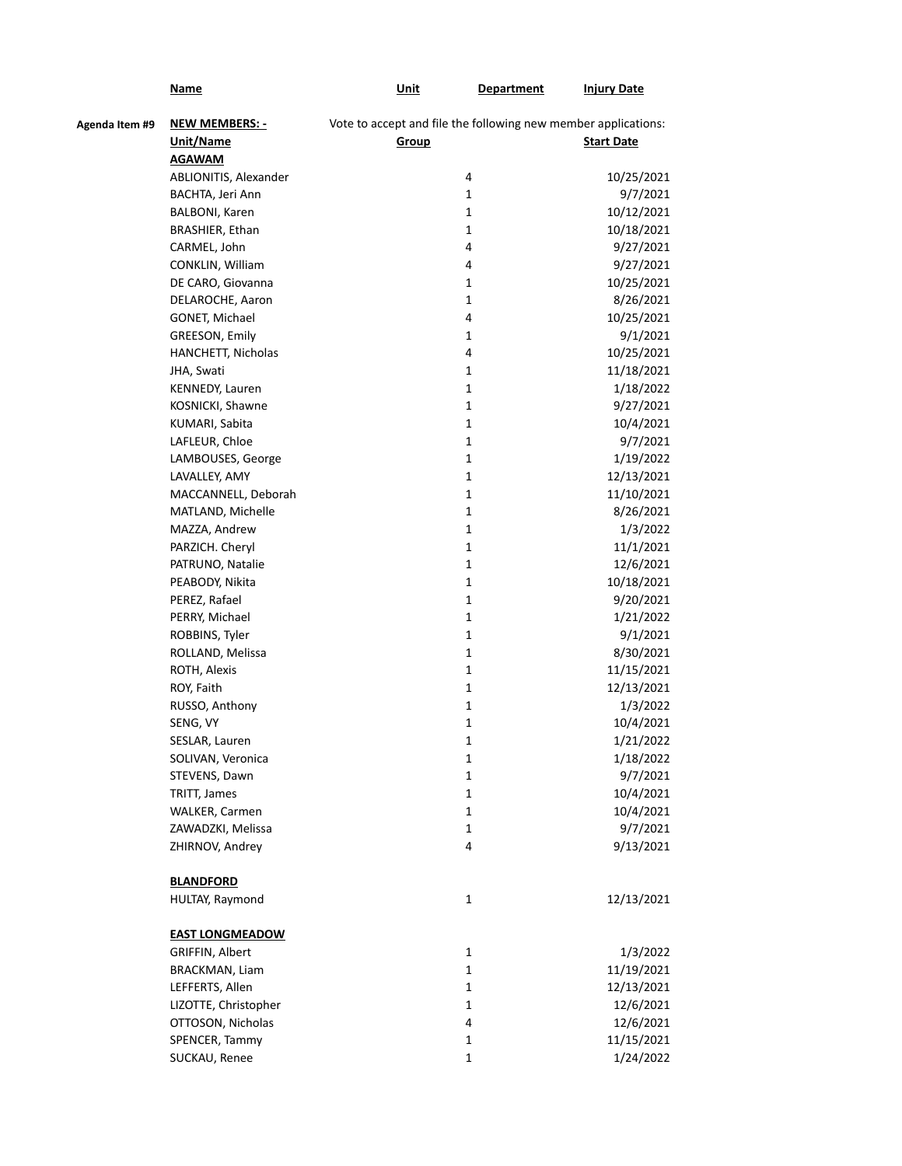|                | <u>Name</u>            | Unit                                                           | <b>Department</b> | <b>Injury Date</b> |
|----------------|------------------------|----------------------------------------------------------------|-------------------|--------------------|
| Agenda Item #9 | <b>NEW MEMBERS: -</b>  | Vote to accept and file the following new member applications: |                   |                    |
|                | Unit/Name              | Group                                                          |                   | <b>Start Date</b>  |
|                | <b>AGAWAM</b>          |                                                                |                   |                    |
|                | ABLIONITIS, Alexander  |                                                                | 4                 | 10/25/2021         |
|                | BACHTA, Jeri Ann       |                                                                | 1                 | 9/7/2021           |
|                | BALBONI, Karen         |                                                                | 1                 | 10/12/2021         |
|                | BRASHIER, Ethan        |                                                                | 1                 | 10/18/2021         |
|                | CARMEL, John           |                                                                | 4                 | 9/27/2021          |
|                | CONKLIN, William       |                                                                | 4                 | 9/27/2021          |
|                | DE CARO, Giovanna      |                                                                | 1                 | 10/25/2021         |
|                | DELAROCHE, Aaron       |                                                                | 1                 | 8/26/2021          |
|                | GONET, Michael         |                                                                | 4                 | 10/25/2021         |
|                | GREESON, Emily         |                                                                | 1                 | 9/1/2021           |
|                | HANCHETT, Nicholas     |                                                                | 4                 | 10/25/2021         |
|                | JHA, Swati             |                                                                | 1                 | 11/18/2021         |
|                | KENNEDY, Lauren        |                                                                | $\mathbf{1}$      | 1/18/2022          |
|                | KOSNICKI, Shawne       |                                                                | $\mathbf{1}$      | 9/27/2021          |
|                | KUMARI, Sabita         |                                                                | $\mathbf{1}$      | 10/4/2021          |
|                | LAFLEUR, Chloe         |                                                                | $\mathbf{1}$      | 9/7/2021           |
|                | LAMBOUSES, George      |                                                                | $\mathbf{1}$      | 1/19/2022          |
|                | LAVALLEY, AMY          |                                                                | 1                 | 12/13/2021         |
|                | MACCANNELL, Deborah    |                                                                | 1                 | 11/10/2021         |
|                | MATLAND, Michelle      |                                                                | $\mathbf{1}$      | 8/26/2021          |
|                | MAZZA, Andrew          |                                                                | $\mathbf{1}$      | 1/3/2022           |
|                | PARZICH. Cheryl        |                                                                | 1                 | 11/1/2021          |
|                | PATRUNO, Natalie       |                                                                | 1                 | 12/6/2021          |
|                | PEABODY, Nikita        |                                                                | 1                 | 10/18/2021         |
|                | PEREZ, Rafael          |                                                                | 1                 | 9/20/2021          |
|                |                        |                                                                | 1                 |                    |
|                | PERRY, Michael         |                                                                |                   | 1/21/2022          |
|                | ROBBINS, Tyler         |                                                                | 1                 | 9/1/2021           |
|                | ROLLAND, Melissa       |                                                                | 1                 | 8/30/2021          |
|                | ROTH, Alexis           |                                                                | 1                 | 11/15/2021         |
|                | ROY, Faith             |                                                                | 1                 | 12/13/2021         |
|                | RUSSO, Anthony         |                                                                | 1                 | 1/3/2022           |
|                | SENG, VY               |                                                                | 1                 | 10/4/2021          |
|                | SESLAR, Lauren         |                                                                | 1                 | 1/21/2022          |
|                | SOLIVAN, Veronica      |                                                                | 1                 | 1/18/2022          |
|                | STEVENS, Dawn          |                                                                | $\mathbf 1$       | 9/7/2021           |
|                | TRITT, James           |                                                                | $\mathbf 1$       | 10/4/2021          |
|                | WALKER, Carmen         |                                                                | $\mathbf{1}$      | 10/4/2021          |
|                | ZAWADZKI, Melissa      |                                                                | $\mathbf{1}$      | 9/7/2021           |
|                | ZHIRNOV, Andrey        |                                                                | 4                 | 9/13/2021          |
|                |                        |                                                                |                   |                    |
|                | <b>BLANDFORD</b>       |                                                                |                   |                    |
|                | HULTAY, Raymond        |                                                                | $\mathbf 1$       | 12/13/2021         |
|                | <b>EAST LONGMEADOW</b> |                                                                |                   |                    |
|                | GRIFFIN, Albert        |                                                                | $\mathbf 1$       | 1/3/2022           |
|                | BRACKMAN, Liam         |                                                                | $\mathbf 1$       | 11/19/2021         |
|                | LEFFERTS, Allen        |                                                                | $\mathbf{1}$      | 12/13/2021         |
|                | LIZOTTE, Christopher   |                                                                | $\mathbf{1}$      | 12/6/2021          |
|                | OTTOSON, Nicholas      |                                                                | 4                 | 12/6/2021          |
|                | SPENCER, Tammy         |                                                                | $\mathbf{1}$      | 11/15/2021         |
|                | SUCKAU, Renee          |                                                                | $\mathbf{1}$      | 1/24/2022          |
|                |                        |                                                                |                   |                    |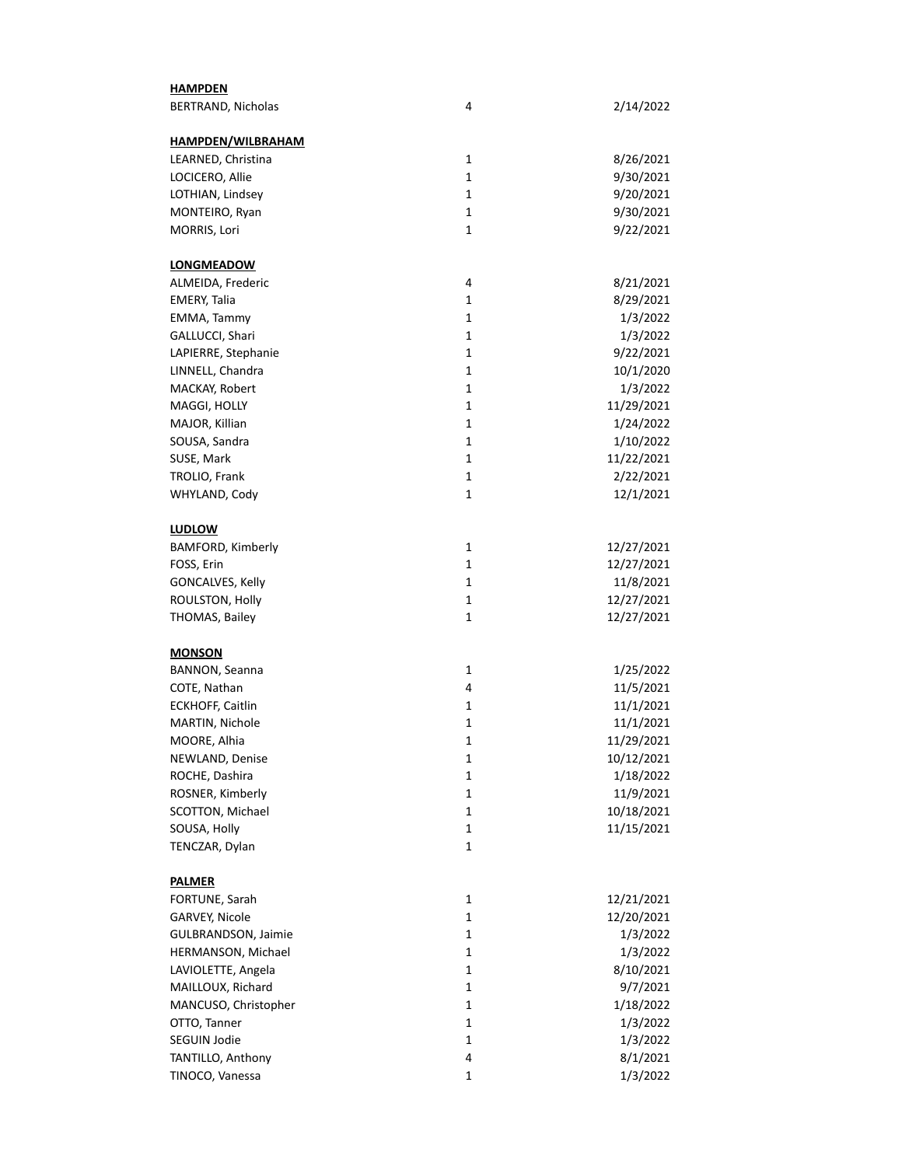| <b>HAMPDEN</b>           |              |            |
|--------------------------|--------------|------------|
| BERTRAND, Nicholas       | 4            | 2/14/2022  |
|                          |              |            |
| <b>HAMPDEN/WILBRAHAM</b> |              |            |
| LEARNED, Christina       | 1            | 8/26/2021  |
| LOCICERO, Allie          | $\mathbf{1}$ | 9/30/2021  |
| LOTHIAN, Lindsey         | $\mathbf{1}$ | 9/20/2021  |
| MONTEIRO, Ryan           | $\mathbf{1}$ | 9/30/2021  |
| MORRIS, Lori             | $\mathbf{1}$ | 9/22/2021  |
|                          |              |            |
| <b>LONGMEADOW</b>        |              |            |
| ALMEIDA, Frederic        | 4            | 8/21/2021  |
| <b>EMERY, Talia</b>      | $\mathbf{1}$ | 8/29/2021  |
| EMMA, Tammy              | 1            | 1/3/2022   |
| GALLUCCI, Shari          | 1            | 1/3/2022   |
| LAPIERRE, Stephanie      | 1            | 9/22/2021  |
| LINNELL, Chandra         | 1            | 10/1/2020  |
| MACKAY, Robert           | 1            | 1/3/2022   |
| MAGGI, HOLLY             | 1            | 11/29/2021 |
| MAJOR, Killian           | 1            | 1/24/2022  |
| SOUSA, Sandra            | 1            | 1/10/2022  |
| SUSE, Mark               | 1            | 11/22/2021 |
| TROLIO, Frank            | 1            | 2/22/2021  |
| WHYLAND, Cody            | 1            | 12/1/2021  |
| <b>LUDLOW</b>            |              |            |
|                          |              |            |
| BAMFORD, Kimberly        | 1            | 12/27/2021 |
| FOSS, Erin               | 1            | 12/27/2021 |
| GONCALVES, Kelly         | 1            | 11/8/2021  |
| ROULSTON, Holly          | 1            | 12/27/2021 |
| THOMAS, Bailey           | 1            | 12/27/2021 |
| <b>MONSON</b>            |              |            |
| BANNON, Seanna           | 1            | 1/25/2022  |
| COTE, Nathan             | 4            | 11/5/2021  |
| <b>ECKHOFF, Caitlin</b>  | 1            | 11/1/2021  |
| MARTIN, Nichole          | 1            | 11/1/2021  |
| MOORE, Alhia             | $\mathbf 1$  | 11/29/2021 |
| NEWLAND, Denise          | 1            | 10/12/2021 |
| ROCHE, Dashira           | 1            | 1/18/2022  |
| ROSNER, Kimberly         | 1            | 11/9/2021  |
| SCOTTON, Michael         | 1            | 10/18/2021 |
| SOUSA, Holly             | 1            | 11/15/2021 |
| TENCZAR, Dylan           | 1            |            |
|                          |              |            |
| <b>PALMER</b>            |              |            |
| FORTUNE, Sarah           | 1            | 12/21/2021 |
| GARVEY, Nicole           | 1            | 12/20/2021 |
| GULBRANDSON, Jaimie      | 1            | 1/3/2022   |
| HERMANSON, Michael       | 1            | 1/3/2022   |
| LAVIOLETTE, Angela       | $\mathbf{1}$ | 8/10/2021  |
| MAILLOUX, Richard        | $\mathbf{1}$ | 9/7/2021   |
| MANCUSO, Christopher     | $\mathbf{1}$ | 1/18/2022  |
| OTTO, Tanner             | $\mathbf{1}$ | 1/3/2022   |
| SEGUIN Jodie             | $\mathbf{1}$ | 1/3/2022   |
| TANTILLO, Anthony        | 4            | 8/1/2021   |
| TINOCO, Vanessa          | $\mathbf{1}$ | 1/3/2022   |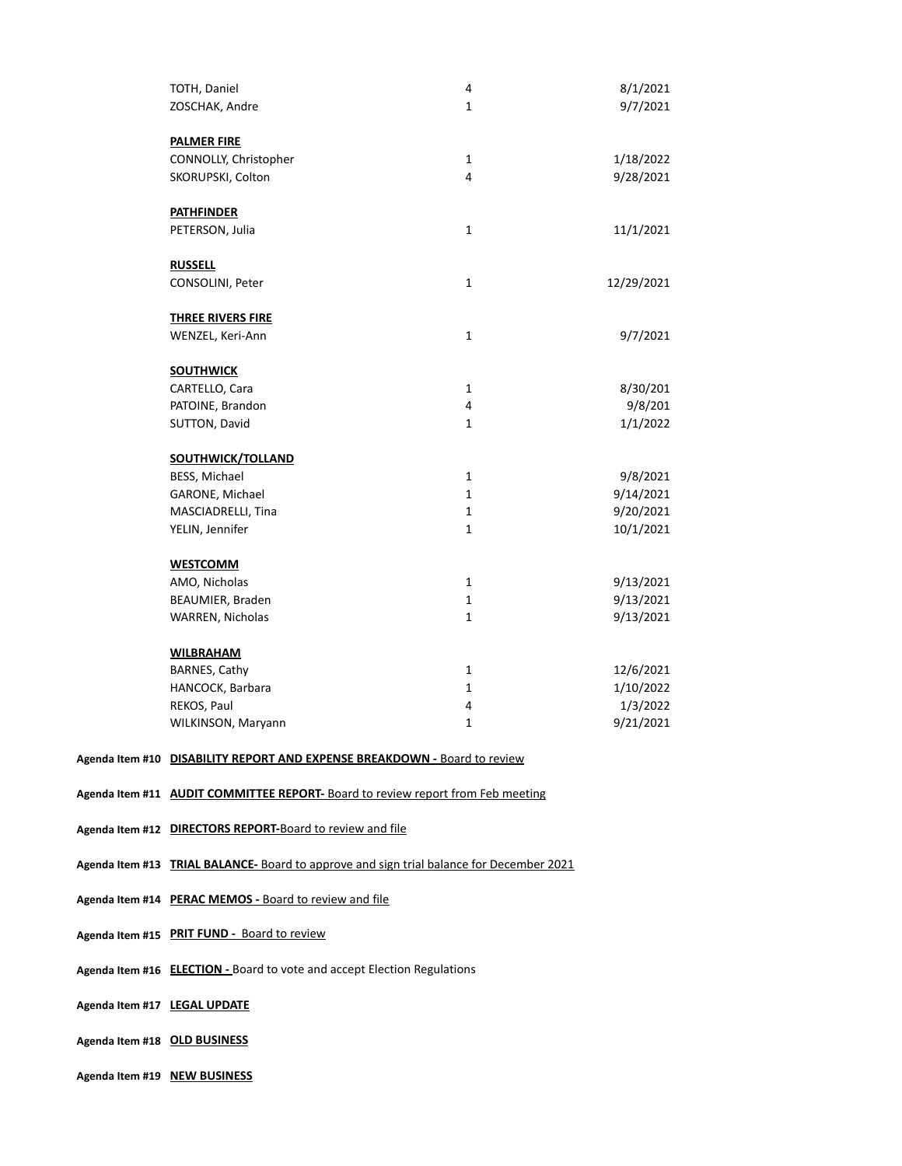| TOTH, Daniel                                                              | 4            | 8/1/2021   |
|---------------------------------------------------------------------------|--------------|------------|
| ZOSCHAK, Andre                                                            | $\mathbf{1}$ | 9/7/2021   |
|                                                                           |              |            |
| <b>PALMER FIRE</b>                                                        |              |            |
| CONNOLLY, Christopher                                                     | $\mathbf{1}$ | 1/18/2022  |
| SKORUPSKI, Colton                                                         | 4            | 9/28/2021  |
|                                                                           |              |            |
| <b>PATHFINDER</b>                                                         |              |            |
| PETERSON, Julia                                                           | $\mathbf{1}$ | 11/1/2021  |
|                                                                           |              |            |
| <b>RUSSELL</b>                                                            |              |            |
| CONSOLINI, Peter                                                          | $\mathbf{1}$ | 12/29/2021 |
|                                                                           |              |            |
| <b>THREE RIVERS FIRE</b>                                                  |              |            |
| WENZEL, Keri-Ann                                                          | $\mathbf{1}$ | 9/7/2021   |
|                                                                           |              |            |
| <b>SOUTHWICK</b>                                                          |              |            |
| CARTELLO, Cara                                                            | $\mathbf{1}$ | 8/30/201   |
| PATOINE, Brandon                                                          | 4            | 9/8/201    |
| SUTTON, David                                                             | $\mathbf{1}$ | 1/1/2022   |
|                                                                           |              |            |
| <b>SOUTHWICK/TOLLAND</b>                                                  |              |            |
| BESS, Michael                                                             | $\mathbf{1}$ | 9/8/2021   |
| GARONE, Michael                                                           | $\mathbf{1}$ | 9/14/2021  |
| MASCIADRELLI, Tina                                                        | $\mathbf{1}$ | 9/20/2021  |
| YELIN, Jennifer                                                           | $\mathbf{1}$ | 10/1/2021  |
|                                                                           |              |            |
| <b>WESTCOMM</b>                                                           |              |            |
| AMO, Nicholas                                                             | $\mathbf{1}$ | 9/13/2021  |
| BEAUMIER, Braden                                                          | $\mathbf{1}$ | 9/13/2021  |
| WARREN, Nicholas                                                          | $\mathbf{1}$ | 9/13/2021  |
|                                                                           |              |            |
| <b>WILBRAHAM</b>                                                          |              |            |
| BARNES, Cathy                                                             | $\mathbf{1}$ | 12/6/2021  |
| HANCOCK, Barbara                                                          | $\mathbf{1}$ | 1/10/2022  |
| REKOS, Paul                                                               | 4            | 1/3/2022   |
| WILKINSON, Maryann                                                        | $\mathbf{1}$ | 9/21/2021  |
|                                                                           |              |            |
| Agenda Item #10 DISABILITY REPORT AND EXPENSE BREAKDOWN - Board to review |              |            |

**Agenda Item #11 AUDIT COMMITTEE REPORT-** Board to review report from Feb meeting

- **Agenda Item #12 DIRECTORS REPORT-**Board to review and file
- **Agenda Item #13 TRIAL BALANCE-** Board to approve and sign trial balance for December 2021
- **Agenda Item #14 PERAC MEMOS -** Board to review and file
- **Agenda Item #15 PRIT FUND** Board to review
- **Agenda Item #16 ELECTION** Board to vote and accept Election Regulations
- **Agenda Item #17 LEGAL UPDATE**
- **Agenda Item #18 OLD BUSINESS**
- **Agenda Item #19 NEW BUSINESS**